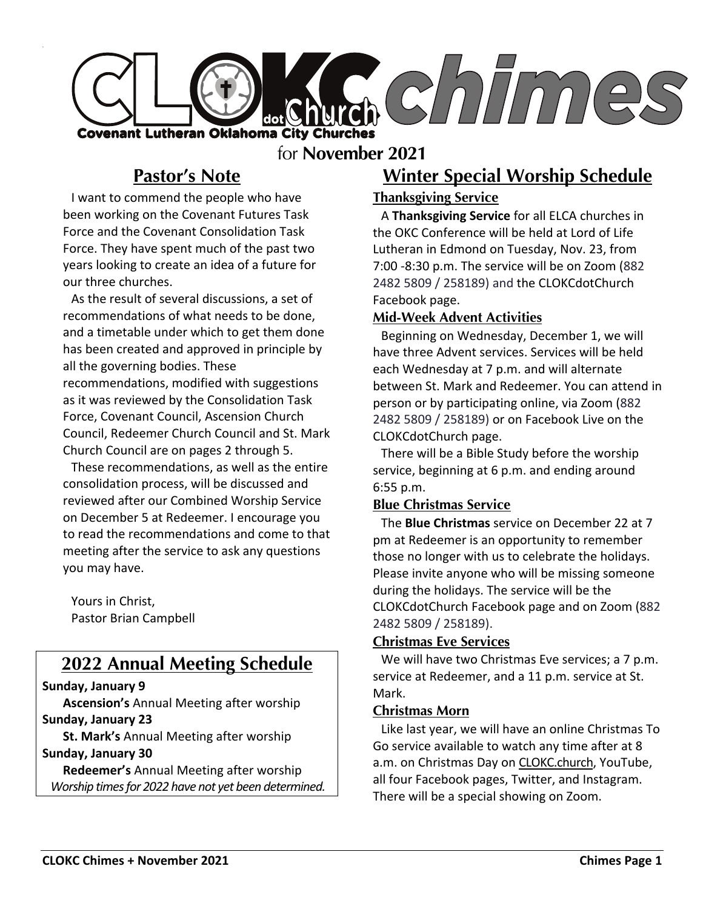

### for **November 2021**

# **Pastor's Note**

I want to commend the people who have been working on the Covenant Futures Task Force and the Covenant Consolidation Task Force. They have spent much of the past two years looking to create an idea of a future for our three churches.

As the result of several discussions, a set of recommendations of what needs to be done, and a timetable under which to get them done has been created and approved in principle by all the governing bodies. These recommendations, modified with suggestions as it was reviewed by the Consolidation Task Force, Covenant Council, Ascension Church Council, Redeemer Church Council and St. Mark Church Council are on pages 2 through 5.

These recommendations, as well as the entire consolidation process, will be discussed and reviewed after our Combined Worship Service on December 5 at Redeemer. I encourage you to read the recommendations and come to that meeting after the service to ask any questions you may have.

Yours in Christ, Pastor Brian Campbell

## **2022 Annual Meeting Schedule**

#### **Sunday, January 9**

**Ascension's** Annual Meeting after worship **Sunday, January 23**

**St. Mark's** Annual Meeting after worship

#### **Sunday, January 30**

**Redeemer's** Annual Meeting after worship *Worship times for 2022 have not yet been determined.* 

## **Winter Special Worship Schedule**

#### **Thanksgiving Service**

A **Thanksgiving Service** for all ELCA churches in the OKC Conference will be held at Lord of Life Lutheran in Edmond on Tuesday, Nov. 23, from 7:00 -8:30 p.m. The service will be on Zoom (882 2482 5809 / 258189) and the CLOKCdotChurch Facebook page.

#### **Mid-Week Advent Activities**

Beginning on Wednesday, December 1, we will have three Advent services. Services will be held each Wednesday at 7 p.m. and will alternate between St. Mark and Redeemer. You can attend in person or by participating online, via Zoom (882 2482 5809 / 258189) or on Facebook Live on the CLOKCdotChurch page.

There will be a Bible Study before the worship service, beginning at 6 p.m. and ending around 6:55 p.m.

#### **Blue Christmas Service**

The **Blue Christmas** service on December 22 at 7 pm at Redeemer is an opportunity to remember those no longer with us to celebrate the holidays. Please invite anyone who will be missing someone during the holidays. The service will be the CLOKCdotChurch Facebook page and on Zoom (882 2482 5809 / 258189).

#### **Christmas Eve Services**

We will have two Christmas Eve services; a 7 p.m. service at Redeemer, and a 11 p.m. service at St. Mark.

#### **Christmas Morn**

Like last year, we will have an online Christmas To Go service available to watch any time after at 8 a.m. on Christmas Day on CLOKC.church, YouTube, all four Facebook pages, Twitter, and Instagram. There will be a special showing on Zoom.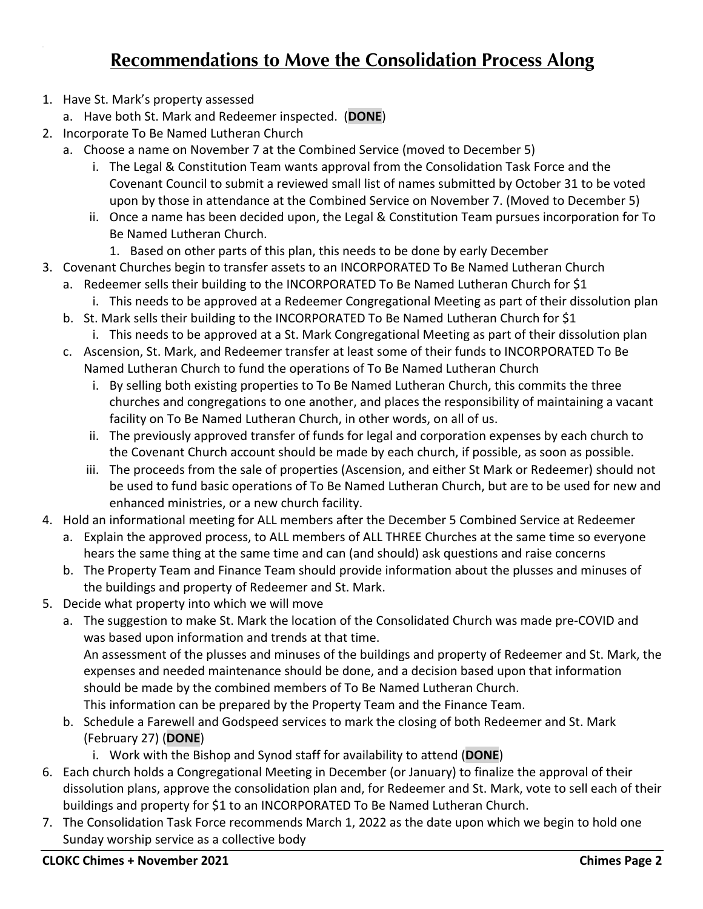# **Recommendations to Move the Consolidation Process Along**

- 1. Have St. Mark's property assessed
	- a. Have both St. Mark and Redeemer inspected. (**DONE**)
- 2. Incorporate To Be Named Lutheran Church
	- a. Choose a name on November 7 at the Combined Service (moved to December 5)
		- i. The Legal & Constitution Team wants approval from the Consolidation Task Force and the Covenant Council to submit a reviewed small list of names submitted by October 31 to be voted upon by those in attendance at the Combined Service on November 7. (Moved to December 5)
		- ii. Once a name has been decided upon, the Legal & Constitution Team pursues incorporation for To Be Named Lutheran Church.
			- 1. Based on other parts of this plan, this needs to be done by early December
- 3. Covenant Churches begin to transfer assets to an INCORPORATED To Be Named Lutheran Church
	- a. Redeemer sells their building to the INCORPORATED To Be Named Lutheran Church for \$1 i. This needs to be approved at a Redeemer Congregational Meeting as part of their dissolution plan
	- b. St. Mark sells their building to the INCORPORATED To Be Named Lutheran Church for \$1
	- i. This needs to be approved at a St. Mark Congregational Meeting as part of their dissolution plan c. Ascension, St. Mark, and Redeemer transfer at least some of their funds to INCORPORATED To Be
	- Named Lutheran Church to fund the operations of To Be Named Lutheran Church
		- i. By selling both existing properties to To Be Named Lutheran Church, this commits the three churches and congregations to one another, and places the responsibility of maintaining a vacant facility on To Be Named Lutheran Church, in other words, on all of us.
		- ii. The previously approved transfer of funds for legal and corporation expenses by each church to the Covenant Church account should be made by each church, if possible, as soon as possible.
		- iii. The proceeds from the sale of properties (Ascension, and either St Mark or Redeemer) should not be used to fund basic operations of To Be Named Lutheran Church, but are to be used for new and enhanced ministries, or a new church facility.
- 4. Hold an informational meeting for ALL members after the December 5 Combined Service at Redeemer
	- a. Explain the approved process, to ALL members of ALL THREE Churches at the same time so everyone hears the same thing at the same time and can (and should) ask questions and raise concerns
	- b. The Property Team and Finance Team should provide information about the plusses and minuses of the buildings and property of Redeemer and St. Mark.
- 5. Decide what property into which we will move
	- a. The suggestion to make St. Mark the location of the Consolidated Church was made pre-COVID and was based upon information and trends at that time. An assessment of the plusses and minuses of the buildings and property of Redeemer and St. Mark, the expenses and needed maintenance should be done, and a decision based upon that information should be made by the combined members of To Be Named Lutheran Church. This information can be prepared by the Property Team and the Finance Team.
	- b. Schedule a Farewell and Godspeed services to mark the closing of both Redeemer and St. Mark (February 27) (**DONE**)
		- i. Work with the Bishop and Synod staff for availability to attend (**DONE**)
- 6. Each church holds a Congregational Meeting in December (or January) to finalize the approval of their dissolution plans, approve the consolidation plan and, for Redeemer and St. Mark, vote to sell each of their buildings and property for \$1 to an INCORPORATED To Be Named Lutheran Church.
- 7. The Consolidation Task Force recommends March 1, 2022 as the date upon which we begin to hold one Sunday worship service as a collective body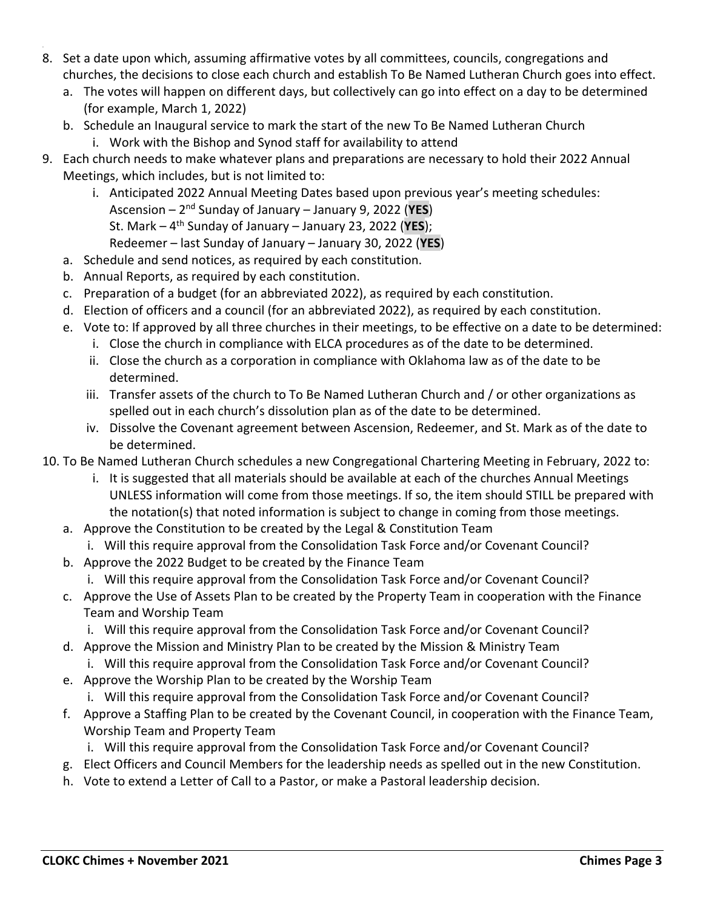- 8. Set a date upon which, assuming affirmative votes by all committees, councils, congregations and churches, the decisions to close each church and establish To Be Named Lutheran Church goes into effect.
	- a. The votes will happen on different days, but collectively can go into effect on a day to be determined (for example, March 1, 2022)
	- b. Schedule an Inaugural service to mark the start of the new To Be Named Lutheran Church
		- i. Work with the Bishop and Synod staff for availability to attend
- 9. Each church needs to make whatever plans and preparations are necessary to hold their 2022 Annual Meetings, which includes, but is not limited to:
	- i. Anticipated 2022 Annual Meeting Dates based upon previous year's meeting schedules: Ascension – 2nd Sunday of January – January 9, 2022 (**YES**) St. Mark – 4th Sunday of January – January 23, 2022 (**YES**); Redeemer – last Sunday of January – January 30, 2022 (**YES**) a. Schedule and send notices, as required by each constitution.
	- b. Annual Reports, as required by each constitution.
	- c. Preparation of a budget (for an abbreviated 2022), as required by each constitution.
	- d. Election of officers and a council (for an abbreviated 2022), as required by each constitution.
	- e. Vote to: If approved by all three churches in their meetings, to be effective on a date to be determined:
		- i. Close the church in compliance with ELCA procedures as of the date to be determined.
		- ii. Close the church as a corporation in compliance with Oklahoma law as of the date to be determined.
		- iii. Transfer assets of the church to To Be Named Lutheran Church and / or other organizations as spelled out in each church's dissolution plan as of the date to be determined.
		- iv. Dissolve the Covenant agreement between Ascension, Redeemer, and St. Mark as of the date to be determined.
- 10. To Be Named Lutheran Church schedules a new Congregational Chartering Meeting in February, 2022 to:
	- i. It is suggested that all materials should be available at each of the churches Annual Meetings UNLESS information will come from those meetings. If so, the item should STILL be prepared with the notation(s) that noted information is subject to change in coming from those meetings.
	- a. Approve the Constitution to be created by the Legal & Constitution Team
	- i. Will this require approval from the Consolidation Task Force and/or Covenant Council? b. Approve the 2022 Budget to be created by the Finance Team
	-
	- i. Will this require approval from the Consolidation Task Force and/or Covenant Council?
	- c. Approve the Use of Assets Plan to be created by the Property Team in cooperation with the Finance Team and Worship Team
		- i. Will this require approval from the Consolidation Task Force and/or Covenant Council?
	- d. Approve the Mission and Ministry Plan to be created by the Mission & Ministry Team i. Will this require approval from the Consolidation Task Force and/or Covenant Council?
	- e. Approve the Worship Plan to be created by the Worship Team
		- i. Will this require approval from the Consolidation Task Force and/or Covenant Council?
	- f. Approve a Staffing Plan to be created by the Covenant Council, in cooperation with the Finance Team, Worship Team and Property Team
		- i. Will this require approval from the Consolidation Task Force and/or Covenant Council?
	- g. Elect Officers and Council Members for the leadership needs as spelled out in the new Constitution.
	- h. Vote to extend a Letter of Call to a Pastor, or make a Pastoral leadership decision.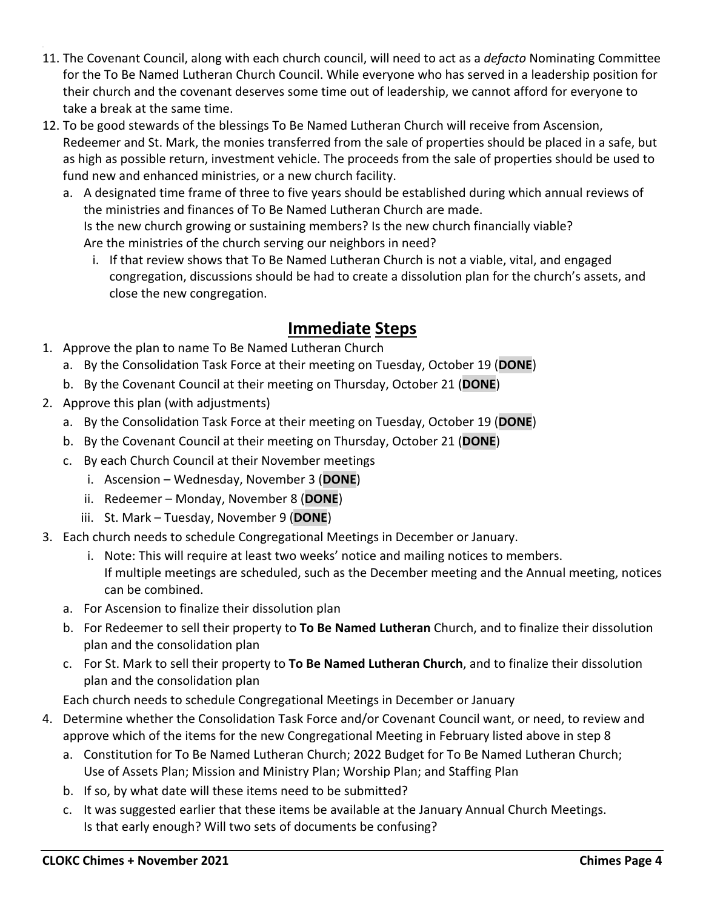- 11. The Covenant Council, along with each church council, will need to act as a *defacto* Nominating Committee for the To Be Named Lutheran Church Council. While everyone who has served in a leadership position for their church and the covenant deserves some time out of leadership, we cannot afford for everyone to take a break at the same time.
- 12. To be good stewards of the blessings To Be Named Lutheran Church will receive from Ascension, Redeemer and St. Mark, the monies transferred from the sale of properties should be placed in a safe, but as high as possible return, investment vehicle. The proceeds from the sale of properties should be used to fund new and enhanced ministries, or a new church facility.
	- a. A designated time frame of three to five years should be established during which annual reviews of the ministries and finances of To Be Named Lutheran Church are made. Is the new church growing or sustaining members? Is the new church financially viable? Are the ministries of the church serving our neighbors in need?
		- i. If that review shows that To Be Named Lutheran Church is not a viable, vital, and engaged congregation, discussions should be had to create a dissolution plan for the church's assets, and close the new congregation.

## **Immediate Steps**

- 1. Approve the plan to name To Be Named Lutheran Church
	- a. By the Consolidation Task Force at their meeting on Tuesday, October 19 (**DONE**)
	- b. By the Covenant Council at their meeting on Thursday, October 21 (**DONE**)
- 2. Approve this plan (with adjustments)
	- a. By the Consolidation Task Force at their meeting on Tuesday, October 19 (**DONE**)
	- b. By the Covenant Council at their meeting on Thursday, October 21 (**DONE**)
	- c. By each Church Council at their November meetings
		- i. Ascension Wednesday, November 3 (**DONE**)
		- ii. Redeemer Monday, November 8 (**DONE**)
		- iii. St. Mark Tuesday, November 9 (**DONE**)
- 3. Each church needs to schedule Congregational Meetings in December or January.
	- i. Note: This will require at least two weeks' notice and mailing notices to members. If multiple meetings are scheduled, such as the December meeting and the Annual meeting, notices can be combined.
	- a. For Ascension to finalize their dissolution plan
	- b. For Redeemer to sell their property to **To Be Named Lutheran** Church, and to finalize their dissolution plan and the consolidation plan
	- c. For St. Mark to sell their property to **To Be Named Lutheran Church**, and to finalize their dissolution plan and the consolidation plan
	- Each church needs to schedule Congregational Meetings in December or January
- 4. Determine whether the Consolidation Task Force and/or Covenant Council want, or need, to review and approve which of the items for the new Congregational Meeting in February listed above in step 8
	- a. Constitution for To Be Named Lutheran Church; 2022 Budget for To Be Named Lutheran Church; Use of Assets Plan; Mission and Ministry Plan; Worship Plan; and Staffing Plan
	- b. If so, by what date will these items need to be submitted?
	- c. It was suggested earlier that these items be available at the January Annual Church Meetings. Is that early enough? Will two sets of documents be confusing?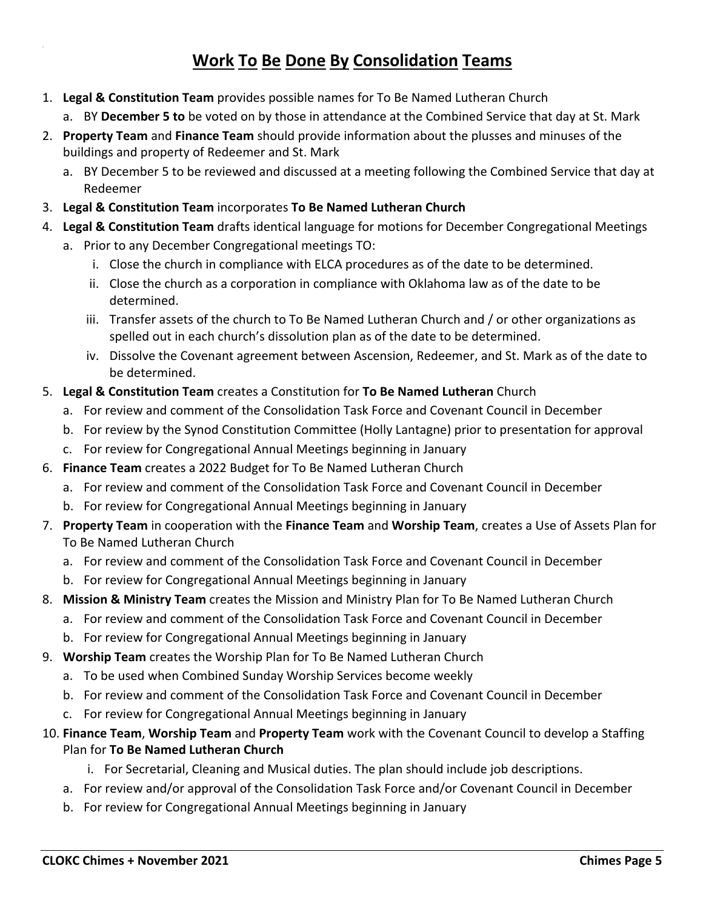## **Work To Be Done By Consolidation Teams**

- 1. **Legal & Constitution Team** provides possible names for To Be Named Lutheran Church
	- a. BY **December 5 to** be voted on by those in attendance at the Combined Service that day at St. Mark
- 2. **Property Team** and **Finance Team** should provide information about the plusses and minuses of the buildings and property of Redeemer and St. Mark
	- a. BY December 5 to be reviewed and discussed at a meeting following the Combined Service that day at Redeemer
- 3. **Legal & Constitution Team** incorporates **To Be Named Lutheran Church**
- 4. **Legal & Constitution Team** drafts identical language for motions for December Congregational Meetings
	- a. Prior to any December Congregational meetings TO:
		- i. Close the church in compliance with ELCA procedures as of the date to be determined.
		- ii. Close the church as a corporation in compliance with Oklahoma law as of the date to be determined.
		- iii. Transfer assets of the church to To Be Named Lutheran Church and / or other organizations as spelled out in each church's dissolution plan as of the date to be determined.
		- iv. Dissolve the Covenant agreement between Ascension, Redeemer, and St. Mark as of the date to be determined.
- 5. **Legal & Constitution Team** creates a Constitution for **To Be Named Lutheran** Church
	- a. For review and comment of the Consolidation Task Force and Covenant Council in December
	- b. For review by the Synod Constitution Committee (Holly Lantagne) prior to presentation for approval
	- c. For review for Congregational Annual Meetings beginning in January
- 6. **Finance Team** creates a 2022 Budget for To Be Named Lutheran Church
	- a. For review and comment of the Consolidation Task Force and Covenant Council in December
	- b. For review for Congregational Annual Meetings beginning in January
- 7. **Property Team** in cooperation with the **Finance Team** and **Worship Team**, creates a Use of Assets Plan for To Be Named Lutheran Church
	- a. For review and comment of the Consolidation Task Force and Covenant Council in December
	- b. For review for Congregational Annual Meetings beginning in January
- 8. **Mission & Ministry Team** creates the Mission and Ministry Plan for To Be Named Lutheran Church
	- a. For review and comment of the Consolidation Task Force and Covenant Council in December
	- b. For review for Congregational Annual Meetings beginning in January
- 9. **Worship Team** creates the Worship Plan for To Be Named Lutheran Church
	- a. To be used when Combined Sunday Worship Services become weekly
	- b. For review and comment of the Consolidation Task Force and Covenant Council in December
	- c. For review for Congregational Annual Meetings beginning in January
- 10. **Finance Team**, **Worship Team** and **Property Team** work with the Covenant Council to develop a Staffing Plan for **To Be Named Lutheran Church**
	- i. For Secretarial, Cleaning and Musical duties. The plan should include job descriptions.
	- a. For review and/or approval of the Consolidation Task Force and/or Covenant Council in December
	- b. For review for Congregational Annual Meetings beginning in January